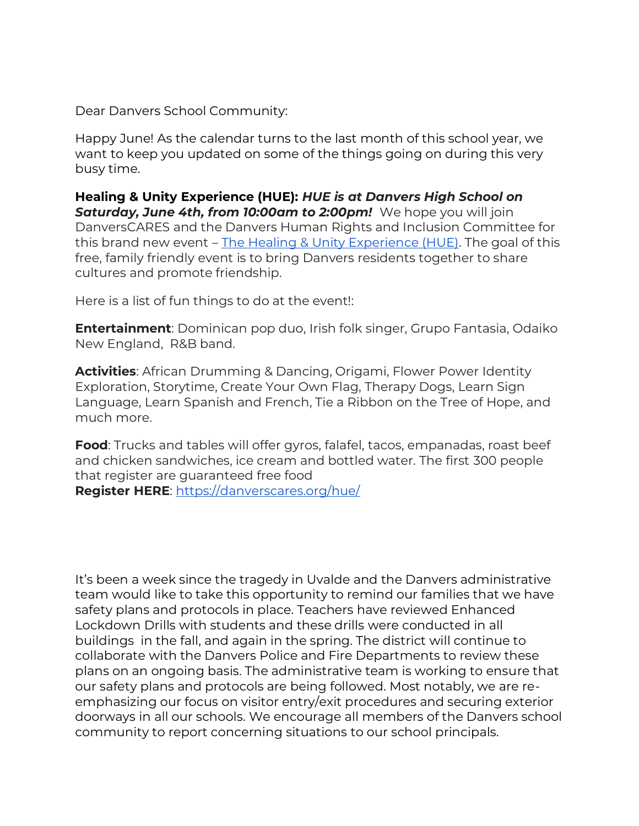Dear Danvers School Community:

Happy June! As the calendar turns to the last month of this school year, we want to keep you updated on some of the things going on during this very busy time.

**Healing & Unity Experience (HUE):** *HUE is at Danvers High School on Saturday, June 4th, from 10:00am to 2:00pm!* We hope you will join DanversCARES and the Danvers Human Rights and Inclusion Committee for this brand new event – [The Healing & Unity Experience \(HUE\).](https://drive.google.com/file/d/11h3J0V02E5-Sjw1OqeXOhJvz0PCWyEw9/view?usp=sharing) The goal of this free, family friendly event is to bring Danvers residents together to share cultures and promote friendship.

Here is a list of fun things to do at the event!:

**Entertainment**: Dominican pop duo, Irish folk singer, Grupo Fantasia, Odaiko New England, R&B band.

**Activities**: African Drumming & Dancing, Origami, Flower Power Identity Exploration, Storytime, Create Your Own Flag, Therapy Dogs, Learn Sign Language, Learn Spanish and French, Tie a Ribbon on the Tree of Hope, and much more.

**Food**: Trucks and tables will offer gyros, falafel, tacos, empanadas, roast beef and chicken sandwiches, ice cream and bottled water. The first 300 people that register are guaranteed free food **Register HERE**:<https://danverscares.org/hue/>

It's been a week since the tragedy in Uvalde and the Danvers administrative team would like to take this opportunity to remind our families that we have safety plans and protocols in place. Teachers have reviewed Enhanced Lockdown Drills with students and these drills were conducted in all buildings in the fall, and again in the spring. The district will continue to collaborate with the Danvers Police and Fire Departments to review these plans on an ongoing basis. The administrative team is working to ensure that our safety plans and protocols are being followed. Most notably, we are reemphasizing our focus on visitor entry/exit procedures and securing exterior doorways in all our schools. We encourage all members of the Danvers school community to report concerning situations to our school principals.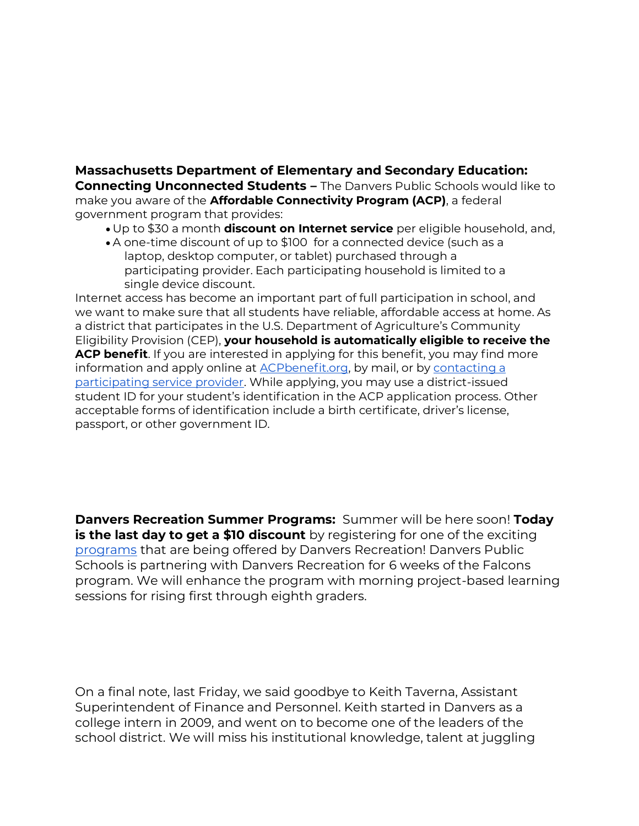## **Massachusetts Department of Elementary and Secondary Education: Connecting Unconnected Students –** The Danvers Public Schools would like to make you aware of the **Affordable Connectivity Program (ACP)**, a federal government program that provides:

- Up to \$30 a month **discount on Internet service** per eligible household, and,
- A one-time discount of up to \$100 for a connected device (such as a laptop, desktop computer, or tablet) purchased through a participating provider. Each participating household is limited to a single device discount.

Internet access has become an important part of full participation in school, and we want to make sure that all students have reliable, affordable access at home. As a district that participates in the U.S. Department of Agriculture's Community Eligibility Provision (CEP), **your household is automatically eligible to receive the ACP benefit**. If you are interested in applying for this benefit, you may find more information and apply online at **[ACPbenefit.org](https://acpbenefit.org/)**, by mail, or by contacting a [participating service provider.](https://data.usac.org/publicreports/CompaniesNearMe/Download/Report) While applying, you may use a district-issued student ID for your student's identification in the ACP application process. Other acceptable forms of identification include a birth certificate, driver's license, passport, or other government ID.

**Danvers Recreation Summer Programs:** Summer will be here soon! **Today is the last day to get a \$10 discount** by registering for one of the exciting [programs](https://issuu.com/danversrecreation/docs/summer_program_grid) that are being offered by Danvers Recreation! Danvers Public Schools is partnering with Danvers Recreation for 6 weeks of the Falcons program. We will enhance the program with morning project-based learning sessions for rising first through eighth graders.

On a final note, last Friday, we said goodbye to Keith Taverna, Assistant Superintendent of Finance and Personnel. Keith started in Danvers as a college intern in 2009, and went on to become one of the leaders of the school district. We will miss his institutional knowledge, talent at juggling